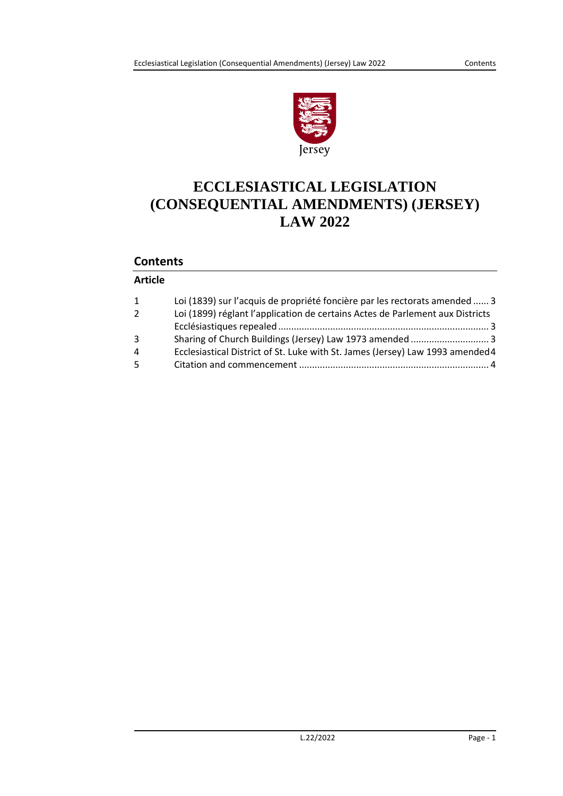

# **ECCLESIASTICAL LEGISLATION (CONSEQUENTIAL AMENDMENTS) (JERSEY) LAW 2022**

### **Contents**

### **Article**

| $\mathbf{1}$   | Loi (1839) sur l'acquis de propriété foncière par les rectorats amended  3     |
|----------------|--------------------------------------------------------------------------------|
| $\overline{2}$ | Loi (1899) réglant l'application de certains Actes de Parlement aux Districts  |
|                |                                                                                |
| 3              |                                                                                |
| 4              | Ecclesiastical District of St. Luke with St. James (Jersey) Law 1993 amended 4 |
| 5              |                                                                                |
|                |                                                                                |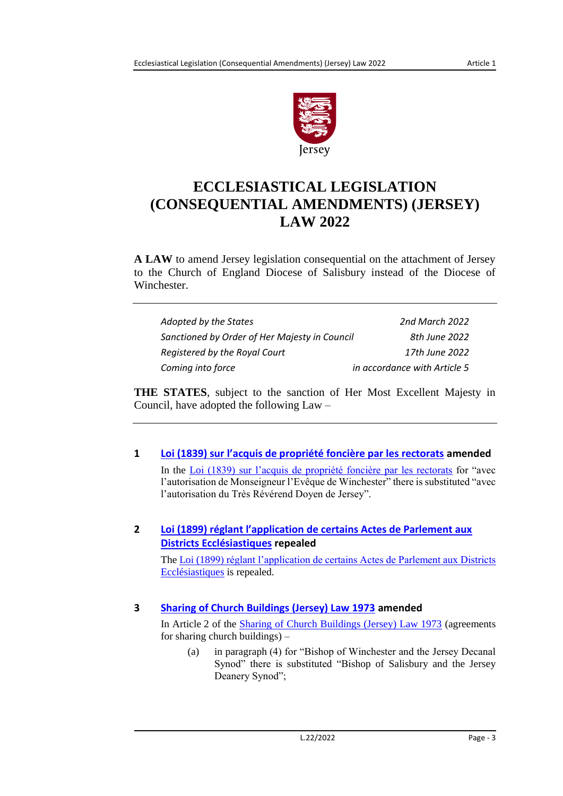

# **ECCLESIASTICAL LEGISLATION (CONSEQUENTIAL AMENDMENTS) (JERSEY) LAW 2022**

**A LAW** to amend Jersey legislation consequential on the attachment of Jersey to the Church of England Diocese of Salisbury instead of the Diocese of Winchester.

| Adopted by the States                         | 2nd March 2022               |
|-----------------------------------------------|------------------------------|
| Sanctioned by Order of Her Majesty in Council | 8th June 2022                |
| Registered by the Royal Court                 | 17th June 2022               |
| Coming into force                             | in accordance with Article 5 |

**THE STATES**, subject to the sanction of Her Most Excellent Majesty in Council, have adopted the following Law –

<span id="page-2-0"></span>**1 Loi (1839) sur l['acquis de propriété foncière par les rectorats](https://www.jerseylaw.je/laws/current/Pages/18.575.aspx) amended** In the [Loi \(1839\) sur l'acquis de propriété foncière par les rectorats](https://www.jerseylaw.je/laws/current/Pages/18.575.aspx) for "avec l'autorisation de Monseigneur l'Evêque de Winchester" there is substituted "avec l'autorisation du Très Révérend Doyen de Jersey".

## <span id="page-2-1"></span>**2 [Loi \(1899\) réglant l'application de certains Actes de Parlement aux](https://www.jerseylaw.je/laws/current/Pages/09.490.aspx)  [Districts Ecclésiastiques](https://www.jerseylaw.je/laws/current/Pages/09.490.aspx) repealed**

The [Loi \(1899\) réglant l'application de certains Actes de Parlement aux Districts](https://www.jerseylaw.je/laws/current/Pages/09.490.aspx)  [Ecclésiastiques](https://www.jerseylaw.je/laws/current/Pages/09.490.aspx) is repealed.

# <span id="page-2-2"></span>**3 [Sharing of Church Buildings \(Jersey\) Law 1973](https://www.jerseylaw.je/laws/current/Pages/09.760.aspx) amended**

In Article 2 of the [Sharing of Church Buildings \(Jersey\) Law 1973](https://www.jerseylaw.je/laws/current/Pages/09.760.aspx) (agreements for sharing church buildings) –

(a) in paragraph (4) for "Bishop of Winchester and the Jersey Decanal Synod" there is substituted "Bishop of Salisbury and the Jersey Deanery Synod";